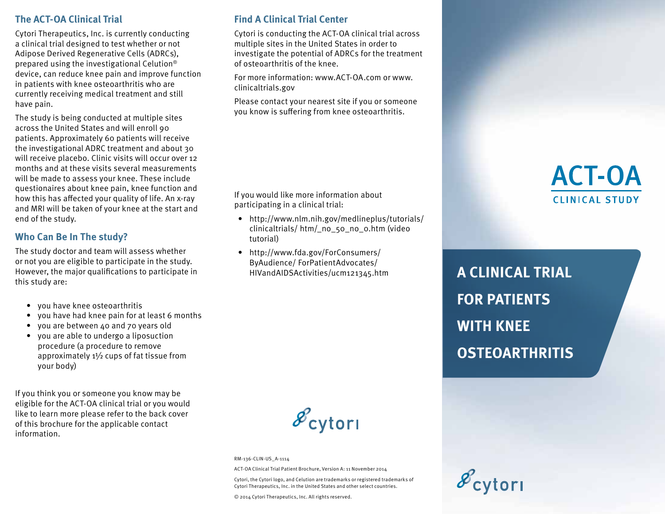### **The ACT-OA Clinical Trial**

Cytori Therapeutics, Inc. is currently conducting a clinical trial designed to test whether or not Adipose Derived Regenerative Cells (ADRCs), prepared using the investigational Celution® device, can reduce knee pain and improve function in patients with knee osteoarthritis who are currently receiving medical treatment and still have pain.

The study is being conducted at multiple sites across the United States and will enroll 90 patients. Approximately 60 patients will receive the investigational ADRC treatment and about 30 will receive placebo. Clinic visits will occur over 12 months and at these visits several measurements will be made to assess your knee. These include questionaires about knee pain, knee function and how this has affected your quality of life. An x-ray and MRI will be taken of your knee at the start and end of the study.

### **Who Can Be In The study?**

The study doctor and team will assess whether or not you are eligible to participate in the study. However, the major qualifications to participate in this study are:

- you have knee osteoarthritis
- you have had knee pain for at least 6 months
- you are between 40 and 70 years old
- you are able to undergo a liposuction procedure (a procedure to remove approximately 1½ cups of fat tissue from your body)

If you think you or someone you know may be eligible for the ACT-OA clinical trial or you would like to learn more please refer to the back cover of this brochure for the applicable contact information.

### **Find A Clinical Trial Center**

Cytori is conducting the ACT-OA clinical trial across multiple sites in the United States in order to investigate the potential of ADRCs for the treatment of osteoarthritis of the knee.

For more information: www.ACT-OA.com or www. clinicaltrials.gov

Please contact your nearest site if you or someone you know is suffering from knee osteoarthritis.

If you would like more information about participating in a clinical trial:

- http://www.nlm.nih.gov/medlineplus/tutorials/ clinicaltrials/ htm/\_no\_50\_no\_0.htm (video tutorial)
- http://www.fda.gov/ForConsumers/ ByAudience/ ForPatientAdvocates/ HIVandAIDSActivities/ucm121345.htm



RM-136-CLIN-US\_A-1114

ACT-OA Clinical Trial Patient Brochure, Version A: 11 November 2014

Cytori, the Cytori logo, and Celution are trademarks or registered trademarks of Cytori Therapeutics, Inc. in the United States and other select countries.

© 2014 Cytori Therapeutics, Inc. All rights reserved.

# **ACT-OA CLINICAL STUDY**

**A CLINICAL TRIAL FOR PATIENTS WITH KNEE OSTEOARTHRITIS**

 $\mathscr{E}_{\text{cytori}}$